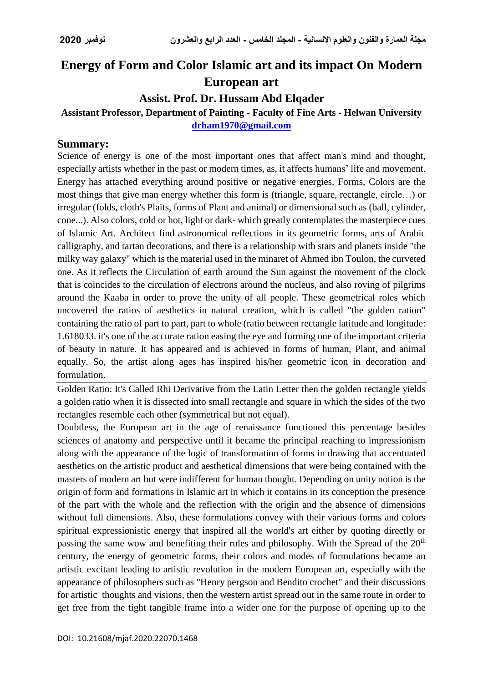# **Energy of Form and Color Islamic art and its impact On Modern European art**

### **Assist. Prof. Dr. Hussam Abd Elqader**

#### **Assistant Professor, Department of Painting - Faculty of Fine Arts - Helwan University [drham1970@gmail.com](mailto:drham1970@gmail.com)**

#### **Summary:**

Science of energy is one of the most important ones that affect man's mind and thought, especially artists whether in the past or modern times, as, it affects humans' life and movement. Energy has attached everything around positive or negative energies. Forms, Colors are the most things that give man energy whether this form is (triangle, square, rectangle, circle…) or irregular (folds, cloth's Plaits, forms of Plant and animal) or dimensional such as (ball, cylinder, cone...). Also colors, cold or hot, light or dark- which greatly contemplates the masterpiece cues of Islamic Art. Architect find astronomical reflections in its geometric forms, arts of Arabic calligraphy, and tartan decorations, and there is a relationship with stars and planets inside "the milky way galaxy" which is the material used in the minaret of Ahmed ibn Toulon, the curveted one. As it reflects the Circulation of earth around the Sun against the movement of the clock that is coincides to the circulation of electrons around the nucleus, and also roving of pilgrims around the Kaaba in order to prove the unity of all people. These geometrical roles which uncovered the ratios of aesthetics in natural creation, which is called "the golden ration" containing the ratio of part to part, part to whole (ratio between rectangle latitude and longitude: 1.618033. it's one of the accurate ration easing the eye and forming one of the important criteria of beauty in nature. It has appeared and is achieved in forms of human, Plant, and animal equally. So, the artist along ages has inspired his/her geometric icon in decoration and formulation.

Golden Ratio: It's Called Rhi Derivative from the Latin Letter then the golden rectangle yields a golden ratio when it is dissected into small rectangle and square in which the sides of the two rectangles resemble each other (symmetrical but not equal).

Doubtless, the European art in the age of renaissance functioned this percentage besides sciences of anatomy and perspective until it became the principal reaching to impressionism along with the appearance of the logic of transformation of forms in drawing that accentuated aesthetics on the artistic product and aesthetical dimensions that were being contained with the masters of modern art but were indifferent for human thought. Depending on unity notion is the origin of form and formations in Islamic art in which it contains in its conception the presence of the part with the whole and the reflection with the origin and the absence of dimensions without full dimensions. Also, these formulations convey with their various forms and colors spiritual expressionistic energy that inspired all the world's art either by quoting directly or passing the same wow and benefiting their rules and philosophy. With the Spread of the  $20<sup>th</sup>$ century, the energy of geometric forms, their colors and modes of formulations became an artistic excitant leading to artistic revolution in the modern European art, especially with the appearance of philosophers such as "Henry pergson and Bendito crochet" and their discussions for artistic thoughts and visions, then the western artist spread out in the same route in order to get free from the tight tangible frame into a wider one for the purpose of opening up to the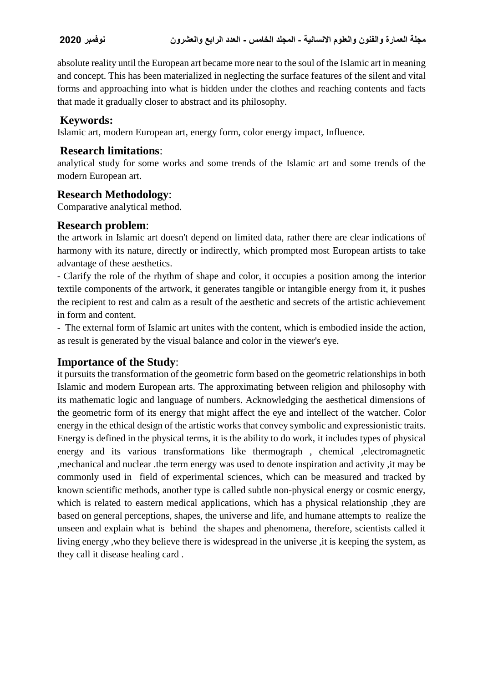absolute reality until the European art became more near to the soul of the Islamic art in meaning and concept. This has been materialized in neglecting the surface features of the silent and vital forms and approaching into what is hidden under the clothes and reaching contents and facts that made it gradually closer to abstract and its philosophy.

# **Keywords:**

Islamic art, modern European art, energy form, color energy impact, Influence.

## **Research limitations**:

analytical study for some works and some trends of the Islamic art and some trends of the modern European art.

## **Research Methodology**:

Comparative analytical method.

#### **Research problem**:

the artwork in Islamic art doesn't depend on limited data, rather there are clear indications of harmony with its nature, directly or indirectly, which prompted most European artists to take advantage of these aesthetics.

- Clarify the role of the rhythm of shape and color, it occupies a position among the interior textile components of the artwork, it generates tangible or intangible energy from it, it pushes the recipient to rest and calm as a result of the aesthetic and secrets of the artistic achievement in form and content.

- The external form of Islamic art unites with the content, which is embodied inside the action, as result is generated by the visual balance and color in the viewer's eye.

# **Importance of the Study**:

it pursuits the transformation of the geometric form based on the geometric relationships in both Islamic and modern European arts. The approximating between religion and philosophy with its mathematic logic and language of numbers. Acknowledging the aesthetical dimensions of the geometric form of its energy that might affect the eye and intellect of the watcher. Color energy in the ethical design of the artistic works that convey symbolic and expressionistic traits. Energy is defined in the physical terms, it is the ability to do work, it includes types of physical energy and its various transformations like thermograph , chemical ,electromagnetic ,mechanical and nuclear .the term energy was used to denote inspiration and activity ,it may be commonly used in field of experimental sciences, which can be measured and tracked by known scientific methods, another type is called subtle non-physical energy or cosmic energy, which is related to eastern medical applications, which has a physical relationship , they are based on general perceptions, shapes, the universe and life, and humane attempts to realize the unseen and explain what is behind the shapes and phenomena, therefore, scientists called it living energy ,who they believe there is widespread in the universe ,it is keeping the system, as they call it disease healing card .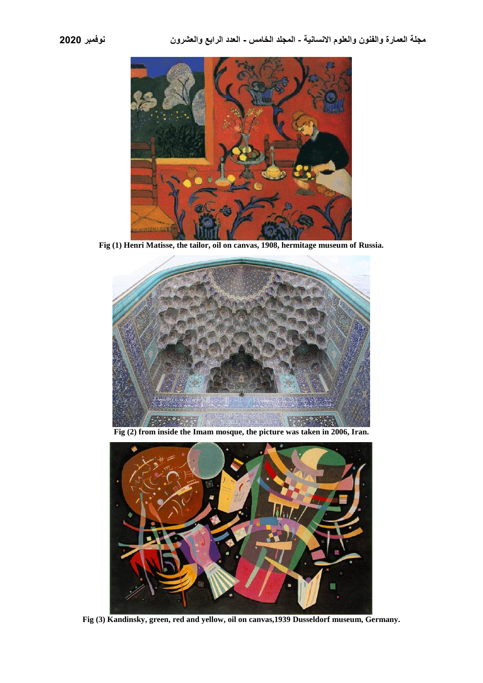

**Fig (1) Henri Matisse, the tailor, oil on canvas, 1908, hermitage museum of Russia.**



**Fig (2) from inside the Imam mosque, the picture was taken in 2006, Iran.**



**Fig (3) Kandinsky, green, red and yellow, oil on canvas,1939 Dusseldorf museum, Germany.**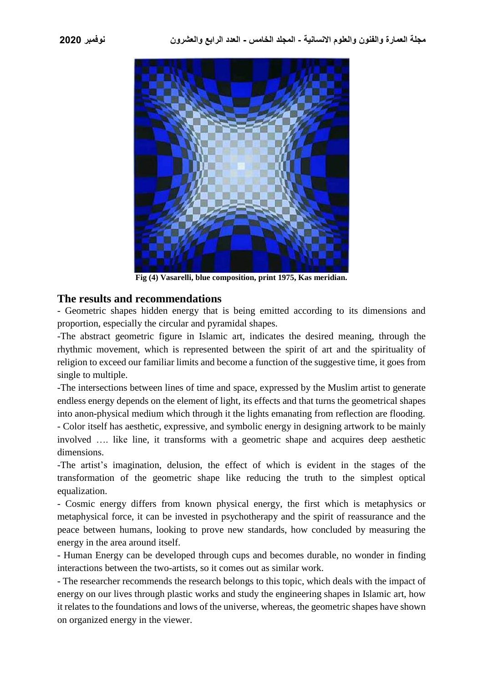

**Fig (4) Vasarelli, blue composition, print 1975, Kas meridian.**

#### **The results and recommendations**

- Geometric shapes hidden energy that is being emitted according to its dimensions and proportion, especially the circular and pyramidal shapes.

-The abstract geometric figure in Islamic art, indicates the desired meaning, through the rhythmic movement, which is represented between the spirit of art and the spirituality of religion to exceed our familiar limits and become a function of the suggestive time, it goes from single to multiple.

-The intersections between lines of time and space, expressed by the Muslim artist to generate endless energy depends on the element of light, its effects and that turns the geometrical shapes into anon-physical medium which through it the lights emanating from reflection are flooding.

- Color itself has aesthetic, expressive, and symbolic energy in designing artwork to be mainly involved …. like line, it transforms with a geometric shape and acquires deep aesthetic dimensions.

-The artist's imagination, delusion, the effect of which is evident in the stages of the transformation of the geometric shape like reducing the truth to the simplest optical equalization.

- Cosmic energy differs from known physical energy, the first which is metaphysics or metaphysical force, it can be invested in psychotherapy and the spirit of reassurance and the peace between humans, looking to prove new standards, how concluded by measuring the energy in the area around itself.

- Human Energy can be developed through cups and becomes durable, no wonder in finding interactions between the two-artists, so it comes out as similar work.

- The researcher recommends the research belongs to this topic, which deals with the impact of energy on our lives through plastic works and study the engineering shapes in Islamic art, how it relates to the foundations and lows of the universe, whereas, the geometric shapes have shown on organized energy in the viewer.